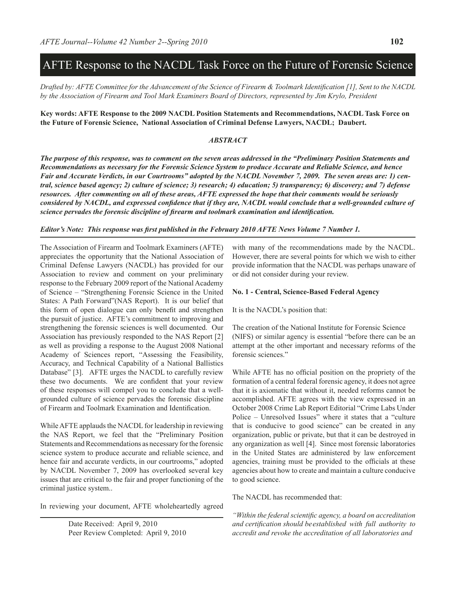# AFTE Response to the NACDL Task Force on the Future of Forensic Science

*Drafted by: AFTE Committee for the Advancement of the Science of Firearm & Toolmark Identification [1], Sent to the NACDL by the Association of Firearm and Tool Mark Examiners Board of Directors, represented by Jim Krylo, President*

#### **Key words: AFTE Response to the 2009 NACDL Position Statements and Recommendations, NACDL Task Force on the Future of Forensic Science, National Association of Criminal Defense Lawyers, NACDL; Daubert.**

#### *ABSTRACT*

*The purpose of this response, was to comment on the seven areas addressed in the "Preliminary Position Statements and Recommendations as necessary for the Forensic Science System to produce Accurate and Reliable Science, and hence Fair and Accurate Verdicts, in our Courtrooms" adopted by the NACDL November 7, 2009. The seven areas are: 1) central, science based agency; 2) culture of science; 3) research; 4) education; 5) transparency; 6) discovery; and 7) defense resources. After commenting on all of these areas, AFTE expressed the hope that their comments would be seriously considered by NACDL, and expressed confidence that if they are, NACDL would conclude that a well-grounded culture of science pervades the forensic discipline of firearm and toolmark examination and identification.* 

#### *Editor's Note: This response was first published in the February 2010 AFTE News Volume 7 Number 1.*

The Association of Firearm and Toolmark Examiners (AFTE) appreciates the opportunity that the National Association of Criminal Defense Lawyers (NACDL) has provided for our Association to review and comment on your preliminary response to the February 2009 report of the National Academy of Science – "Strengthening Forensic Science in the United States: A Path Forward"(NAS Report). It is our belief that this form of open dialogue can only benefit and strengthen the pursuit of justice. AFTE's commitment to improving and strengthening the forensic sciences is well documented. Our Association has previously responded to the NAS Report [2] as well as providing a response to the August 2008 National Academy of Sciences report, "Assessing the Feasibility, Accuracy, and Technical Capability of a National Ballistics Database" [3]. AFTE urges the NACDL to carefully review these two documents. We are confident that your review of these responses will compel you to conclude that a wellgrounded culture of science pervades the forensic discipline of Firearm and Toolmark Examination and Identification.

While AFTE applauds the NACDL for leadership in reviewing the NAS Report, we feel that the "Preliminary Position Statements and Recommendations as necessary for the forensic science system to produce accurate and reliable science, and hence fair and accurate verdicts, in our courtrooms," adopted by NACDL November 7, 2009 has overlooked several key issues that are critical to the fair and proper functioning of the criminal justice system..

In reviewing your document, AFTE wholeheartedly agreed

Date Received: April 9, 2010 Peer Review Completed: April 9, 2010

with many of the recommendations made by the NACDL. However, there are several points for which we wish to either provide information that the NACDL was perhaps unaware of or did not consider during your review.

#### **No. 1 - Central, Science-Based Federal Agency**

It is the NACDL's position that:

The creation of the National Institute for Forensic Science (NIFS) or similar agency is essential "before there can be an attempt at the other important and necessary reforms of the forensic sciences."

While AFTE has no official position on the propriety of the formation of a central federal forensic agency, it does not agree that it is axiomatic that without it, needed reforms cannot be accomplished. AFTE agrees with the view expressed in an October 2008 Crime Lab Report Editorial "Crime Labs Under Police – Unresolved Issues" where it states that a "culture that is conducive to good science" can be created in any organization, public or private, but that it can be destroyed in any organization as well [4]. Since most forensic laboratories in the United States are administered by law enforcement agencies, training must be provided to the officials at these agencies about how to create and maintain a culture conducive to good science.

The NACDL has recommended that:

*"Within the federal scientific agency, a board on accreditation and certification should beestablished with full authority to accredit and revoke the accreditation of all laboratories and*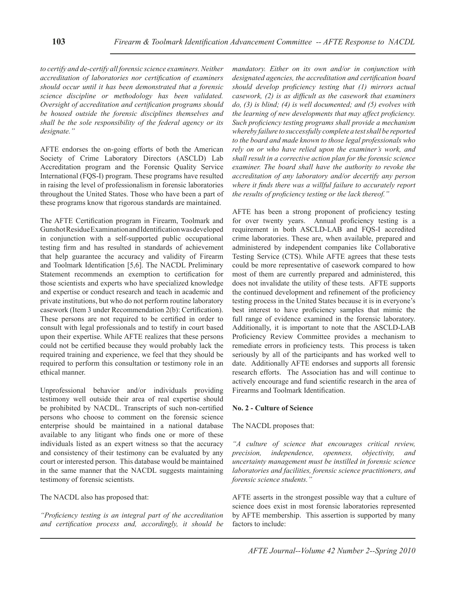*to certify and de-certify all forensic science examiners. Neither accreditation of laboratories nor certification of examiners should occur until it has been demonstrated that a forensic science discipline or methodology has been validated. Oversight of accreditation and certification programs should be housed outside the forensic disciplines themselves and shall be the sole responsibility of the federal agency or its designate."*

AFTE endorses the on-going efforts of both the American Society of Crime Laboratory Directors (ASCLD) Lab Accreditation program and the Forensic Quality Service International (FQS-I) program. These programs have resulted in raising the level of professionalism in forensic laboratories throughout the United States. Those who have been a part of these programs know that rigorous standards are maintained.

The AFTE Certification program in Firearm, Toolmark and Gunshot Residue Examination and Identification was developed in conjunction with a self-supported public occupational testing firm and has resulted in standards of achievement that help guarantee the accuracy and validity of Firearm and Toolmark Identification [5,6]. The NACDL Preliminary Statement recommends an exemption to certification for those scientists and experts who have specialized knowledge and expertise or conduct research and teach in academic and private institutions, but who do not perform routine laboratory casework (Item 3 under Recommendation 2(b): Certification). These persons are not required to be certified in order to consult with legal professionals and to testify in court based upon their expertise. While AFTE realizes that these persons could not be certified because they would probably lack the required training and experience, we feel that they should be required to perform this consultation or testimony role in an ethical manner.

Unprofessional behavior and/or individuals providing testimony well outside their area of real expertise should be prohibited by NACDL. Transcripts of such non-certified persons who choose to comment on the forensic science enterprise should be maintained in a national database available to any litigant who finds one or more of these individuals listed as an expert witness so that the accuracy and consistency of their testimony can be evaluated by any court or interested person. This database would be maintained in the same manner that the NACDL suggests maintaining testimony of forensic scientists.

The NACDL also has proposed that:

*"Proficiency testing is an integral part of the accreditation and certification process and, accordingly, it should be*  *mandatory. Either on its own and/or in conjunction with designated agencies, the accreditation and certification board should develop proficiency testing that (1) mirrors actual casework, (2) is as difficult as the casework that examiners do, (3) is blind; (4) is well documented; and (5) evolves with the learning of new developments that may affect proficiency. Such proficiency testing programs shall provide a mechanism whereby failure to successfully complete a test shall be reported to the board and made known to those legal professionals who rely on or who have relied upon the examiner's work, and shall result in a corrective action plan for the forensic science examiner. The board shall have the authority to revoke the accreditation of any laboratory and/or decertify any person where it finds there was a willful failure to accurately report the results of proficiency testing or the lack thereof."*

AFTE has been a strong proponent of proficiency testing for over twenty years. Annual proficiency testing is a requirement in both ASCLD-LAB and FQS-I accredited crime laboratories. These are, when available, prepared and administered by independent companies like Collaborative Testing Service (CTS). While AFTE agrees that these tests could be more representative of casework compared to how most of them are currently prepared and administered, this does not invalidate the utility of these tests. AFTE supports the continued development and refinement of the proficiency testing process in the United States because it is in everyone's best interest to have proficiency samples that mimic the full range of evidence examined in the forensic laboratory. Additionally, it is important to note that the ASCLD-LAB Proficiency Review Committee provides a mechanism to remediate errors in proficiency tests. This process is taken seriously by all of the participants and has worked well to date. Additionally AFTE endorses and supports all forensic research efforts. The Association has and will continue to actively encourage and fund scientific research in the area of Firearms and Toolmark Identification.

## **No. 2 - Culture of Science**

## The NACDL proposes that:

*"A culture of science that encourages critical review, precision, independence, openness, objectivity, and uncertainty management must be instilled in forensic science laboratories and facilities, forensic science practitioners, and forensic science students."*

AFTE asserts in the strongest possible way that a culture of science does exist in most forensic laboratories represented by AFTE membership. This assertion is supported by many factors to include: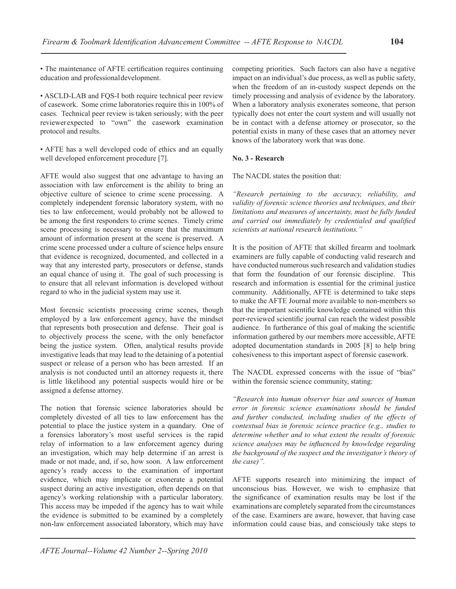• The maintenance of AFTE certification requires continuing education and professionaldevelopment.

• ASCLD-LAB and FQS-I both require technical peer review of casework. Some crime laboratories require this in 100% of cases. Technical peer review is taken seriously; with the peer reviewerexpected to "own" the casework examination protocol and results.

• AFTE has a well developed code of ethics and an equally well developed enforcement procedure [7].

AFTE would also suggest that one advantage to having an association with law enforcement is the ability to bring an objective culture of science to crime scene processing. A completely independent forensic laboratory system, with no ties to law enforcement, would probably not be allowed to be among the first responders to crime scenes. Timely crime scene processing is necessary to ensure that the maximum amount of information present at the scene is preserved. A crime scene processed under a culture of science helps ensure that evidence is recognized, documented, and collected in a way that any interested party, prosecutors or defense, stands an equal chance of using it. The goal of such processing is to ensure that all relevant information is developed without regard to who in the judicial system may use it.

Most forensic scientists processing crime scenes, though employed by a law enforcement agency, have the mindset that represents both prosecution and defense. Their goal is to objectively process the scene, with the only benefactor being the justice system. Often, analytical results provide investigative leads that may lead to the detaining of a potential suspect or release of a person who has been arrested. If an analysis is not conducted until an attorney requests it, there is little likelihood any potential suspects would hire or be assigned a defense attorney.

The notion that forensic science laboratories should be completely divested of all ties to law enforcement has the potential to place the justice system in a quandary. One of a forensics laboratory's most useful services is the rapid relay of information to a law enforcement agency during an investigation, which may help determine if an arrest is made or not made, and, if so, how soon. A law enforcement agency's ready access to the examination of important evidence, which may implicate or exonerate a potential suspect during an active investigation, often depends on that agency's working relationship with a particular laboratory. This access may be impeded if the agency has to wait while the evidence is submitted to be examined by a completely non-law enforcement associated laboratory, which may have

competing priorities. Such factors can also have a negative impact on an individual's due process, as well as public safety, when the freedom of an in-custody suspect depends on the timely processing and analysis of evidence by the laboratory. When a laboratory analysis exonerates someone, that person typically does not enter the court system and will usually not be in contact with a defense attorney or prosecutor, so the potential exists in many of these cases that an attorney never knows of the laboratory work that was done.

## **No. 3 - Research**

The NACDL states the position that:

*"Research pertaining to the accuracy, reliability, and validity of forensic science theories and techniques, and their limitations and measures of uncertainty, must be fully funded and carried out immediately by credentialed and qualified scientists at national research institutions."*

It is the position of AFTE that skilled firearm and toolmark examiners are fully capable of conducting valid research and have conducted numerous such research and validation studies that form the foundation of our forensic discipline. This research and information is essential for the criminal justice community. Additionally, AFTE is determined to take steps to make the AFTE Journal more available to non-members so that the important scientific knowledge contained within this peer-reviewed scientific journal can reach the widest possible audience. In furtherance of this goal of making the scientific information gathered by our members more accessible, AFTE adopted documentation standards in 2005 [8] to help bring cohesiveness to this important aspect of forensic casework.

The NACDL expressed concerns with the issue of "bias" within the forensic science community, stating:

*"Research into human observer bias and sources of human error in forensic science examinations should be funded and further conducted, including studies of the effects of contextual bias in forensic science practice (e.g., studies to determine whether and to what extent the results of forensic science analyses may be influenced by knowledge regarding the background of the suspect and the investigator's theory of the case)".*

AFTE supports research into minimizing the impact of unconscious bias. However, we wish to emphasize that the significance of examination results may be lost if the examinations are completely separated from the circumstances of the case. Examiners are aware, however, that having case information could cause bias, and consciously take steps to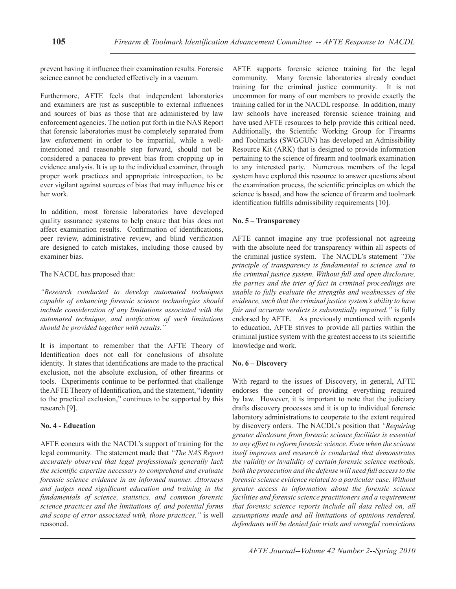prevent having it influence their examination results. Forensic science cannot be conducted effectively in a vacuum.

Furthermore, AFTE feels that independent laboratories and examiners are just as susceptible to external influences and sources of bias as those that are administered by law enforcement agencies. The notion put forth in the NAS Report that forensic laboratories must be completely separated from law enforcement in order to be impartial, while a wellintentioned and reasonable step forward, should not be considered a panacea to prevent bias from cropping up in evidence analysis. It is up to the individual examiner, through proper work practices and appropriate introspection, to be ever vigilant against sources of bias that may influence his or her work.

In addition, most forensic laboratories have developed quality assurance systems to help ensure that bias does not affect examination results. Confirmation of identifications, peer review, administrative review, and blind verification are designed to catch mistakes, including those caused by examiner bias.

## The NACDL has proposed that:

*"Research conducted to develop automated techniques capable of enhancing forensic science technologies should include consideration of any limitations associated with the automated technique, and notification of such limitations should be provided together with results."*

It is important to remember that the AFTE Theory of Identification does not call for conclusions of absolute identity. It states that identifications are made to the practical exclusion, not the absolute exclusion, of other firearms or tools. Experiments continue to be performed that challenge the AFTE Theory of Identification, and the statement, "identity to the practical exclusion," continues to be supported by this research [9].

## **No. 4 - Education**

AFTE concurs with the NACDL's support of training for the legal community. The statement made that *"The NAS Report accurately observed that legal professionals generally lack the scientific expertise necessary to comprehend and evaluate forensic science evidence in an informed manner. Attorneys and judges need significant education and training in the fundamentals of science, statistics, and common forensic science practices and the limitations of, and potential forms and scope of error associated with, those practices."* is well reasoned.

AFTE supports forensic science training for the legal community. Many forensic laboratories already conduct training for the criminal justice community. It is not uncommon for many of our members to provide exactly the training called for in the NACDL response. In addition, many law schools have increased forensic science training and have used AFTE resources to help provide this critical need. Additionally, the Scientific Working Group for Firearms and Toolmarks (SWGGUN) has developed an Admissibility Resource Kit (ARK) that is designed to provide information pertaining to the science of firearm and toolmark examination to any interested party. Numerous members of the legal system have explored this resource to answer questions about the examination process, the scientific principles on which the science is based, and how the science of firearm and toolmark identification fulfills admissibility requirements [10].

## **No. 5 – Transparency**

AFTE cannot imagine any true professional not agreeing with the absolute need for transparency within all aspects of the criminal justice system. The NACDL's statement *"The principle of transparency is fundamental to science and to the criminal justice system. Without full and open disclosure, the parties and the trier of fact in criminal proceedings are unable to fully evaluate the strengths and weaknesses of the evidence, such that the criminal justice system's ability to have fair and accurate verdicts is substantially impaired."* is fully endorsed by AFTE. As previously mentioned with regards to education, AFTE strives to provide all parties within the criminal justice system with the greatest access to its scientific knowledge and work.

## **No. 6 – Discovery**

With regard to the issues of Discovery, in general, AFTE endorses the concept of providing everything required by law. However, it is important to note that the judiciary drafts discovery processes and it is up to individual forensic laboratory administrations to cooperate to the extent required by discovery orders. The NACDL's position that *"Requiring greater disclosure from forensic science facilities is essential to any effort to reform forensic science. Even when the science itself improves and research is conducted that demonstrates the validity or invalidity of certain forensic science methods, both the prosecution and the defense will need full access to the forensic science evidence related to a particular case. Without greater access to information about the forensic science facilities and forensic science practitioners and a requirement that forensic science reports include all data relied on, all assumptions made and all limitations of opinions rendered, defendants will be denied fair trials and wrongful convictions*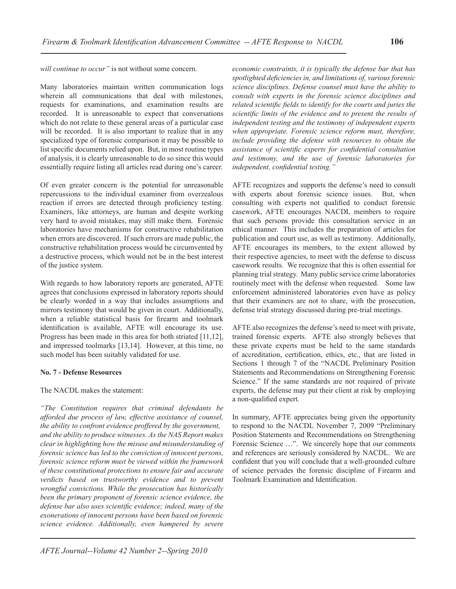*will continue to occur"* is not without some concern.

Many laboratories maintain written communication logs wherein all communications that deal with milestones, requests for examinations, and examination results are recorded. It is unreasonable to expect that conversations which do not relate to these general areas of a particular case will be recorded. It is also important to realize that in any specialized type of forensic comparison it may be possible to list specific documents relied upon. But, in most routine types of analysis, it is clearly unreasonable to do so since this would essentially require listing all articles read during one's career.

Of even greater concern is the potential for unreasonable repercussions to the individual examiner from overzealous reaction if errors are detected through proficiency testing. Examiners, like attorneys, are human and despite working very hard to avoid mistakes, may still make them. Forensic laboratories have mechanisms for constructive rehabilitation when errors are discovered. If such errors are made public, the constructive rehabilitation process would be circumvented by a destructive process, which would not be in the best interest of the justice system.

With regards to how laboratory reports are generated, AFTE agrees that conclusions expressed in laboratory reports should be clearly worded in a way that includes assumptions and mirrors testimony that would be given in court. Additionally, when a reliable statistical basis for firearm and toolmark identification is available, AFTE will encourage its use. Progress has been made in this area for both striated [11,12], and impressed toolmarks [13,14]. However, at this time, no such model has been suitably validated for use.

#### **No. 7 - Defense Resources**

The NACDL makes the statement:

*"The Constitution requires that criminal defendants be afforded due process of law, effective assistance of counsel, the ability to confront evidence proffered by the government, and the ability to produce witnesses. As the NAS Report makes clear in highlighting how the misuse and misunderstanding of forensic science has led to the conviction of innocent persons, forensic science reform must be viewed within the framework of these constitutional protections to ensure fair and accurate verdicts based on trustworthy evidence and to prevent wrongful convictions. While the prosecution has historically been the primary proponent of forensic science evidence, the defense bar also uses scientific evidence; indeed, many of the exonerations of innocent persons have been based on forensic science evidence. Additionally, even hampered by severe* 

*science disciplines. Defense counsel must have the ability to consult with experts in the forensic science disciplines and related scientific fields to identify for the courts and juries the scientific limits of the evidence and to present the results of independent testing and the testimony of independent experts when appropriate. Forensic science reform must, therefore, include providing the defense with resources to obtain the assistance of scientific experts for confidential consultation and testimony, and the use of forensic laboratories for independent, confidential testing."* AFTE recognizes and supports the defense's need to consult

*economic constraints, it is typically the defense bar that has spotlighted deficiencies in, and limitations of, various forensic* 

with experts about forensic science issues. But, when consulting with experts not qualified to conduct forensic casework, AFTE encourages NACDL members to require that such persons provide this consultation service in an ethical manner. This includes the preparation of articles for publication and court use, as well as testimony. Additionally, AFTE encourages its members, to the extent allowed by their respective agencies, to meet with the defense to discuss casework results. We recognize that this is often essential for planning trial strategy. Many public service crime laboratories routinely meet with the defense when requested. Some law enforcement administered laboratories even have as policy that their examiners are not to share, with the prosecution, defense trial strategy discussed during pre-trial meetings.

AFTE also recognizes the defense's need to meet with private, trained forensic experts. AFTE also strongly believes that these private experts must be held to the same standards of accreditation, certification, ethics, etc., that are listed in Sections 1 through 7 of the "NACDL Preliminary Position Statements and Recommendations on Strengthening Forensic Science." If the same standards are not required of private experts, the defense may put their client at risk by employing a non-qualified expert.

In summary, AFTE appreciates being given the opportunity to respond to the NACDL November 7, 2009 "Preliminary Position Statements and Recommendations on Strengthening Forensic Science ...". We sincerely hope that our comments and references are seriously considered by NACDL. We are confident that you will conclude that a well-grounded culture of science pervades the forensic discipline of Firearm and Toolmark Examination and Identification.